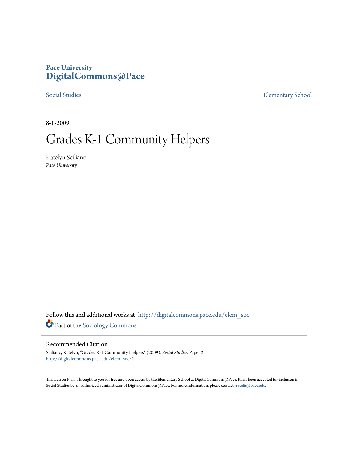### **Pace University [DigitalCommons@Pace](http://digitalcommons.pace.edu?utm_source=digitalcommons.pace.edu%2Felem_soc%2F2&utm_medium=PDF&utm_campaign=PDFCoverPages)**

[Social Studies](http://digitalcommons.pace.edu/elem_soc?utm_source=digitalcommons.pace.edu%2Felem_soc%2F2&utm_medium=PDF&utm_campaign=PDFCoverPages) **[Elementary School](http://digitalcommons.pace.edu/elem?utm_source=digitalcommons.pace.edu%2Felem_soc%2F2&utm_medium=PDF&utm_campaign=PDFCoverPages)** 

8-1-2009

# Grades K-1 Community Helpers

Katelyn Sciliano *Pace University*

Follow this and additional works at: [http://digitalcommons.pace.edu/elem\\_soc](http://digitalcommons.pace.edu/elem_soc?utm_source=digitalcommons.pace.edu%2Felem_soc%2F2&utm_medium=PDF&utm_campaign=PDFCoverPages) Part of the [Sociology Commons](http://network.bepress.com/hgg/discipline/416?utm_source=digitalcommons.pace.edu%2Felem_soc%2F2&utm_medium=PDF&utm_campaign=PDFCoverPages)

#### Recommended Citation

Sciliano, Katelyn, "Grades K-1 Community Helpers" (2009). *Social Studies.* Paper 2. [http://digitalcommons.pace.edu/elem\\_soc/2](http://digitalcommons.pace.edu/elem_soc/2?utm_source=digitalcommons.pace.edu%2Felem_soc%2F2&utm_medium=PDF&utm_campaign=PDFCoverPages)

This Lesson Plan is brought to you for free and open access by the Elementary School at DigitalCommons@Pace. It has been accepted for inclusion in Social Studies by an authorized administrator of DigitalCommons@Pace. For more information, please contact [rracelis@pace.edu](mailto:rracelis@pace.edu).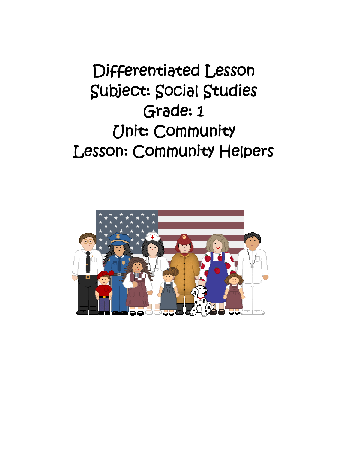Differentiated Lesson Subject: Social Studies Grade: 1 Unit: Community Lesson: Community Helpers

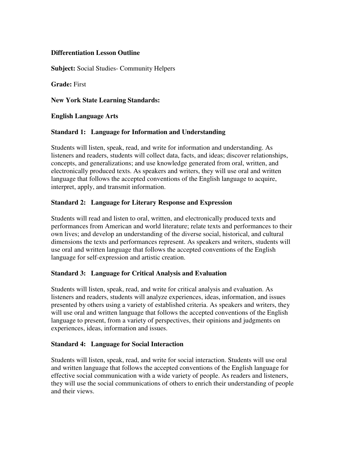#### **Differentiation Lesson Outline**

**Subject:** Social Studies- Community Helpers

**Grade:** First

**New York State Learning Standards:** 

**English Language Arts**

#### **Standard 1: Language for Information and Understanding**

Students will listen, speak, read, and write for information and understanding. As listeners and readers, students will collect data, facts, and ideas; discover relationships, concepts, and generalizations; and use knowledge generated from oral, written, and electronically produced texts. As speakers and writers, they will use oral and written language that follows the accepted conventions of the English language to acquire, interpret, apply, and transmit information.

#### **Standard 2: Language for Literary Response and Expression**

Students will read and listen to oral, written, and electronically produced texts and performances from American and world literature; relate texts and performances to their own lives; and develop an understanding of the diverse social, historical, and cultural dimensions the texts and performances represent. As speakers and writers, students will use oral and written language that follows the accepted conventions of the English language for self-expression and artistic creation.

#### **Standard 3: Language for Critical Analysis and Evaluation**

Students will listen, speak, read, and write for critical analysis and evaluation. As listeners and readers, students will analyze experiences, ideas, information, and issues presented by others using a variety of established criteria. As speakers and writers, they will use oral and written language that follows the accepted conventions of the English language to present, from a variety of perspectives, their opinions and judgments on experiences, ideas, information and issues.

#### **Standard 4: Language for Social Interaction**

Students will listen, speak, read, and write for social interaction. Students will use oral and written language that follows the accepted conventions of the English language for effective social communication with a wide variety of people. As readers and listeners, they will use the social communications of others to enrich their understanding of people and their views.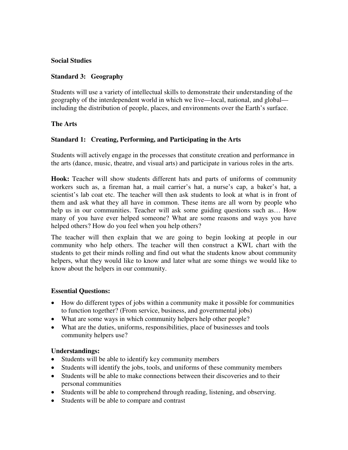#### **Social Studies**

#### **Standard 3: Geography**

Students will use a variety of intellectual skills to demonstrate their understanding of the geography of the interdependent world in which we live—local, national, and global including the distribution of people, places, and environments over the Earth's surface.

#### **The Arts**

#### **Standard 1: Creating, Performing, and Participating in the Arts**

Students will actively engage in the processes that constitute creation and performance in the arts (dance, music, theatre, and visual arts) and participate in various roles in the arts.

**Hook:** Teacher will show students different hats and parts of uniforms of community workers such as, a fireman hat, a mail carrier's hat, a nurse's cap, a baker's hat, a scientist's lab coat etc. The teacher will then ask students to look at what is in front of them and ask what they all have in common. These items are all worn by people who help us in our communities. Teacher will ask some guiding questions such as… How many of you have ever helped someone? What are some reasons and ways you have helped others? How do you feel when you help others?

The teacher will then explain that we are going to begin looking at people in our community who help others. The teacher will then construct a KWL chart with the students to get their minds rolling and find out what the students know about community helpers, what they would like to know and later what are some things we would like to know about the helpers in our community.

#### **Essential Questions:**

- How do different types of jobs within a community make it possible for communities to function together? (From service, business, and governmental jobs)
- What are some ways in which community helpers help other people?
- What are the duties, uniforms, responsibilities, place of businesses and tools community helpers use?

#### **Understandings:**

- Students will be able to identify key community members
- Students will identify the jobs, tools, and uniforms of these community members
- Students will be able to make connections between their discoveries and to their personal communities
- Students will be able to comprehend through reading, listening, and observing.
- Students will be able to compare and contrast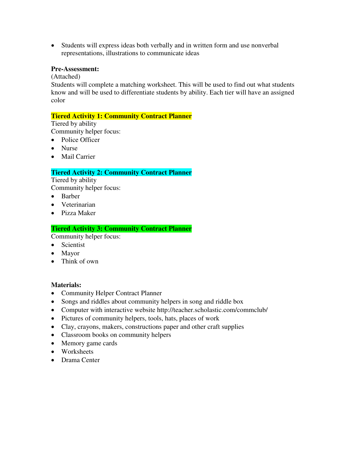• Students will express ideas both verbally and in written form and use nonverbal representations, illustrations to communicate ideas

#### **Pre-Assessment:**

(Attached)

Students will complete a matching worksheet. This will be used to find out what students know and will be used to differentiate students by ability. Each tier will have an assigned color

#### **Tiered Activity 1: Community Contract Planner**

Tiered by ability Community helper focus:

- Police Officer
- Nurse
- Mail Carrier

#### **Tiered Activity 2: Community Contract Planner**

Tiered by ability Community helper focus:

- Barber
- Veterinarian
- Pizza Maker

#### **Tiered Activity 3: Community Contract Planner**

Community helper focus:

- Scientist
- Mayor
- Think of own

#### **Materials:**

- Community Helper Contract Planner
- Songs and riddles about community helpers in song and riddle box
- Computer with interactive website http://teacher.scholastic.com/commclub/
- Pictures of community helpers, tools, hats, places of work
- Clay, crayons, makers, constructions paper and other craft supplies
- Classroom books on community helpers
- Memory game cards
- Worksheets
- Drama Center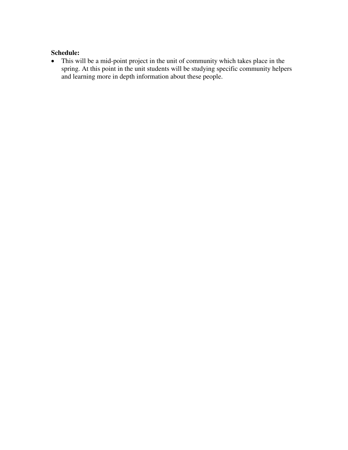#### **Schedule:**

• This will be a mid-point project in the unit of community which takes place in the spring. At this point in the unit students will be studying specific community helpers and learning more in depth information about these people.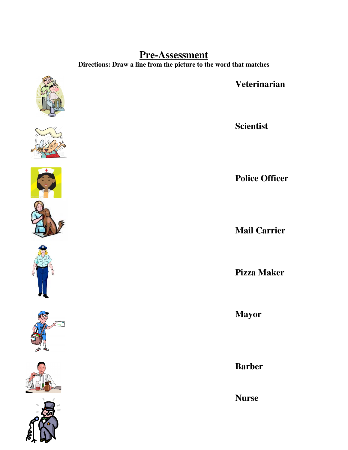### **Pre-Assessment**

**Directions: Draw a line from the picture to the word that matches** 

**Veterinarian** 

 **Scientist** 

 **Police Officer** 

 **Mail Carrier** 

 **Pizza Maker** 

 **Mayor** 

**Barber** 

**Nurse** 















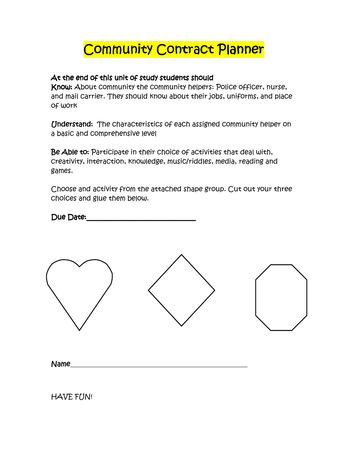# **Community Contract Planner**

#### At the end of this unit of study students should

Know: About community the community helpers: Police officer, nurse, and mail carrier. They should know about their jobs, uniforms, and place of work

Understand: The characteristics of each assigned community helper on a basic and comprehensive level

Be Able to: Participate in their choice of activities that deal with, creativity, interaction, knowledge, music/riddles, media, reading and games.

Choose and activity from the attached shape group. Cut out your three choices and glue them below.

Due Date:\_\_\_\_\_\_\_\_\_\_\_\_\_\_\_\_\_\_\_\_\_\_\_\_\_\_\_\_\_\_\_\_



Name\_\_\_\_\_\_\_\_\_\_\_\_\_\_\_\_\_\_\_\_\_\_\_\_\_\_\_\_\_\_\_\_\_\_\_\_\_\_\_\_\_\_\_\_\_\_\_\_\_\_\_\_

HAVE FUN!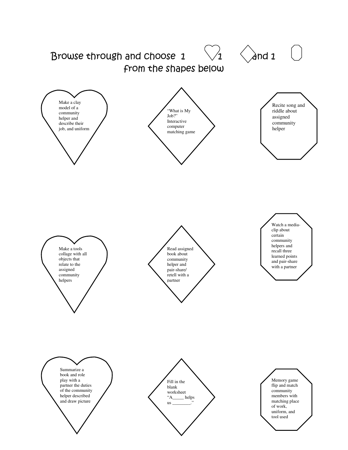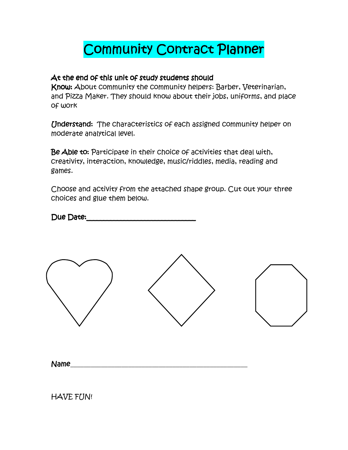# Community Contract Planner

#### At the end of this unit of study students should

Know: About community the community helpers: Barber, Veterinarian, and Pizza Maker. They should know about their jobs, uniforms, and place of work

Understand: The characteristics of each assigned community helper on moderate analytical level.

Be Able to: Participate in their choice of activities that deal with, creativity, interaction, knowledge, music/riddles, media, reading and games.

Choose and activity from the attached shape group. Cut out your three choices and glue them below.

Due Date:\_\_\_\_\_\_\_\_\_\_\_\_\_\_\_\_\_\_\_\_\_\_\_\_\_\_\_\_\_\_\_\_



Name\_\_\_\_\_\_\_\_\_\_\_\_\_\_\_\_\_\_\_\_\_\_\_\_\_\_\_\_\_\_\_\_\_\_\_\_\_\_\_\_\_\_\_\_\_\_\_\_\_\_\_\_

HAVE FUN!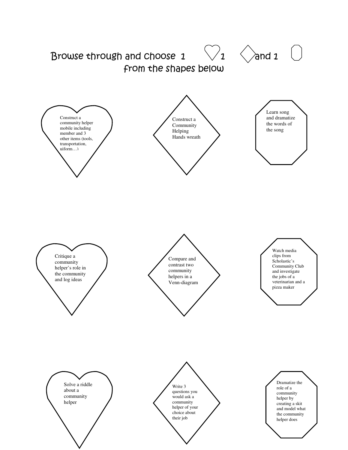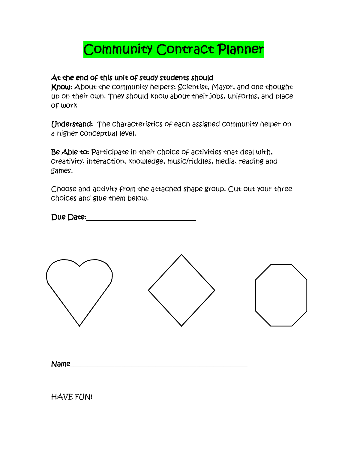# Community Contract Planner

#### At the end of this unit of study students should

Know: About the community helpers: Scientist, Mayor, and one thought up on their own. They should know about their jobs, uniforms, and place of work

Understand: The characteristics of each assigned community helper on a higher conceptual level.

Be Able to: Participate in their choice of activities that deal with, creativity, interaction, knowledge, music/riddles, media, reading and games.

Choose and activity from the attached shape group. Cut out your three choices and glue them below.

Due Date:\_\_\_\_\_\_\_\_\_\_\_\_\_\_\_\_\_\_\_\_\_\_\_\_\_\_\_\_\_\_\_\_



Name\_\_\_\_\_\_\_\_\_\_\_\_\_\_\_\_\_\_\_\_\_\_\_\_\_\_\_\_\_\_\_\_\_\_\_\_\_\_\_\_\_\_\_\_\_\_\_\_\_\_\_\_

HAVE FUN!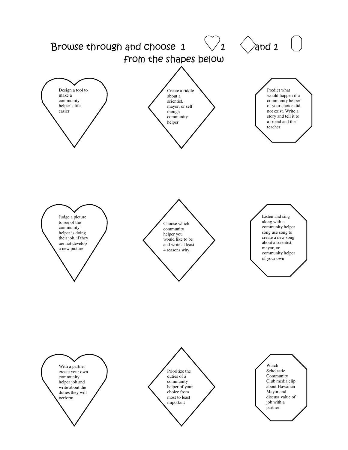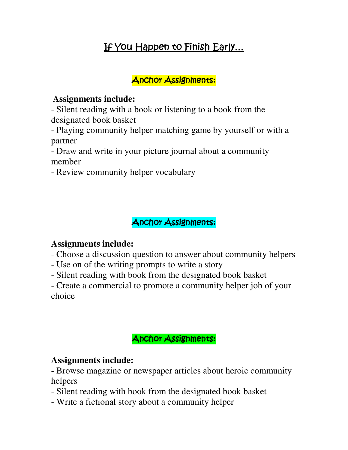### If You Happen to Finish Early…

### Anchor Assignments:

### **Assignments include:**

- Silent reading with a book or listening to a book from the designated book basket

- Playing community helper matching game by yourself or with a partner

- Draw and write in your picture journal about a community member

- Review community helper vocabulary

### Anchor Assignments:

### **Assignments include:**

- Choose a discussion question to answer about community helpers
- Use on of the writing prompts to write a story
- Silent reading with book from the designated book basket

- Create a commercial to promote a community helper job of your choice

### Anchor Assignments:

### **Assignments include:**

- Browse magazine or newspaper articles about heroic community helpers

- Silent reading with book from the designated book basket
- Write a fictional story about a community helper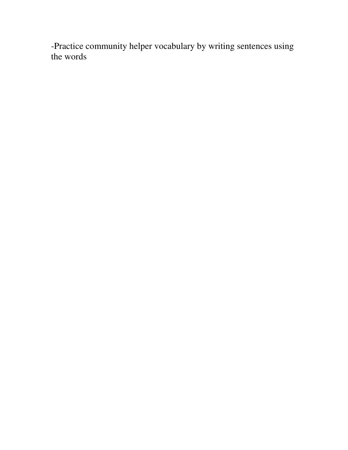-Practice community helper vocabulary by writing sentences using the words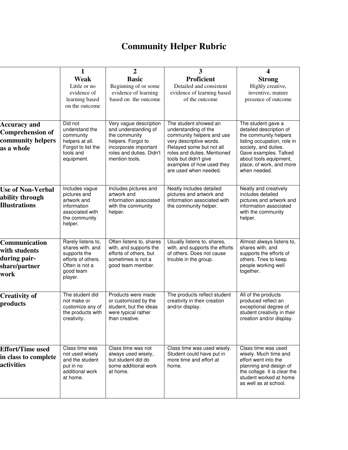## **Community Helper Rubric**

|                          | $\mathbf{1}$                     | $\overline{2}$                                   | $\overline{\mathbf{3}}$                                     | $\overline{\mathbf{4}}$                        |
|--------------------------|----------------------------------|--------------------------------------------------|-------------------------------------------------------------|------------------------------------------------|
|                          | Weak                             | <b>Basic</b>                                     | <b>Proficient</b>                                           | <b>Strong</b>                                  |
|                          | Little or no                     | Beginning of or some                             | Detailed and consistent                                     | Highly creative,                               |
|                          | evidence of                      | evidence of learning                             | evidence of learning based                                  | inventive, mature                              |
|                          | learning based                   | based on the outcome                             | of the outcome                                              | presence of outcome                            |
|                          | on the outcome                   |                                                  |                                                             |                                                |
|                          |                                  |                                                  |                                                             |                                                |
|                          |                                  |                                                  |                                                             |                                                |
| <b>Accuracy and</b>      | Did not<br>understand the        | Very vague description<br>and understanding of   | The student showed an<br>understanding of the               | The student gave a<br>detailed description of  |
| <b>Comprehension of</b>  | community                        | the community                                    | community helpers and use                                   | the community helpers                          |
| community helpers        | helpers at all.                  | helpers. Forgot to                               | very descriptive words.                                     | listing occupation, role in                    |
| as a whole               | Forgot to list the               | incorporate important                            | Relayed some but not all                                    | society, and duties.                           |
|                          | tools and                        | roles and duties. Didn't                         | roles and duties. Mentioned                                 | Gave examples. Talked                          |
|                          | equipment.                       | mention tools.                                   | tools but didn't give                                       | about tools equipment,                         |
|                          |                                  |                                                  | examples of how used they                                   | place, of work, and more                       |
|                          |                                  |                                                  | are used when needed.                                       | when needed.                                   |
|                          |                                  |                                                  |                                                             |                                                |
| <b>Use of Non-Verbal</b> | Includes vague                   | Includes pictures and                            | Neatly includes detailed                                    | Neatly and creatively                          |
| ability through          | pictures and                     | artwork and                                      | pictures and artwork and                                    | includes detailed                              |
| <b>Illustrations</b>     | artwork and                      | information associated                           | information associated with                                 | pictures and artwork and                       |
|                          | information                      | with the community                               | the community helper.                                       | information associated                         |
|                          | associated with<br>the community | helper.                                          |                                                             | with the community<br>helper.                  |
|                          | helper.                          |                                                  |                                                             |                                                |
|                          |                                  |                                                  |                                                             |                                                |
|                          |                                  |                                                  |                                                             |                                                |
| Communication            | Rarely listens to,               | Often listens to, shares                         | Usually listens to, shares,                                 | Almost always listens to,                      |
| with students            | shares with, and<br>supports the | with, and supports the<br>efforts of others, but | with, and supports the efforts<br>of others. Does not cause | shares with, and<br>supports the efforts of    |
| during pair-             | efforts of others.               | sometimes is not a                               | trouble in the group.                                       | others. Tries to keep                          |
| share/partner            | Often is not a                   | good team member.                                |                                                             | people working well                            |
| work                     | good team                        |                                                  |                                                             | together.                                      |
|                          | player.                          |                                                  |                                                             |                                                |
|                          |                                  |                                                  |                                                             |                                                |
| <b>Creativity of</b>     | The student did                  | Products were made                               | The products reflect student                                | All of the products                            |
|                          | not make or                      | or customized by the                             | creativity in their creation                                | produced reflect an                            |
| products                 | customize any of                 | student, but the ideas                           | and/or display.                                             | exceptional degree of                          |
|                          | the products with                | were typical rather                              |                                                             | student creativity in their                    |
|                          | creativity.                      | than creative.                                   |                                                             | creation and/or display.                       |
|                          |                                  |                                                  |                                                             |                                                |
|                          |                                  |                                                  |                                                             |                                                |
|                          |                                  |                                                  |                                                             |                                                |
| <b>Effort/Time used</b>  | Class time was                   | Class time was not                               | Class time was used wisely.                                 | Class time was used                            |
| in class to complete     | not used wisely                  | always used wisely,                              | Student could have put in                                   | wisely. Much time and                          |
| activities               | and the student<br>put in no     | but student did do<br>some additional work       | more time and effort at<br>home.                            | effort went into the<br>planning and design of |
|                          | additional work                  | at home.                                         |                                                             | the collage. It is clear the                   |
|                          | at home.                         |                                                  |                                                             | student worked at home                         |
|                          |                                  |                                                  |                                                             | as well as at school.                          |
|                          |                                  |                                                  |                                                             |                                                |
|                          |                                  |                                                  |                                                             |                                                |